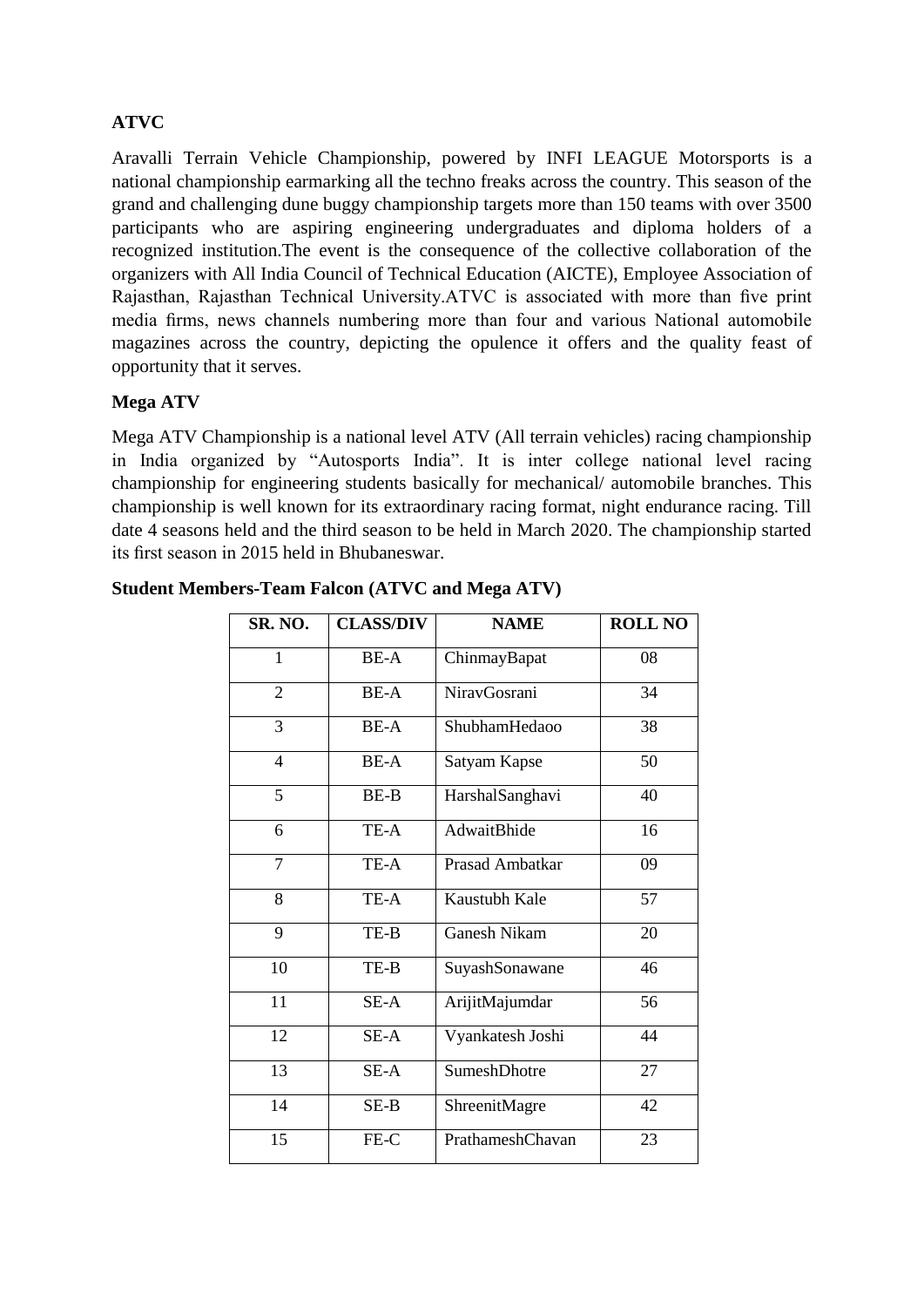## **ATVC**

Aravalli Terrain Vehicle Championship, powered by INFI LEAGUE Motorsports is a national championship earmarking all the techno freaks across the country. This season of the grand and challenging dune buggy championship targets more than 150 teams with over 3500 participants who are aspiring engineering undergraduates and diploma holders of a recognized institution.The event is the consequence of the collective collaboration of the organizers with All India Council of Technical Education (AICTE), Employee Association of Rajasthan, Rajasthan Technical University.ATVC is associated with more than five print media firms, news channels numbering more than four and various National automobile magazines across the country, depicting the opulence it offers and the quality feast of opportunity that it serves.

## **Mega ATV**

Mega ATV Championship is a national level ATV (All terrain vehicles) racing championship in India organized by "Autosports India". It is inter college national level racing championship for engineering students basically for mechanical/ automobile branches. This championship is well known for its extraordinary racing format, night endurance racing. Till date 4 seasons held and the third season to be held in March 2020. The championship started its first season in 2015 held in Bhubaneswar.

| SR. NO.        | <b>CLASS/DIV</b> | <b>NAME</b>         | <b>ROLL NO</b> |
|----------------|------------------|---------------------|----------------|
| 1              | BE-A             | ChinmayBapat        | 08             |
| $\overline{2}$ | BE-A             | NiravGosrani        | 34             |
| 3              | <b>BE-A</b>      | ShubhamHedaoo       | 38             |
| $\overline{4}$ | <b>BE-A</b>      | Satyam Kapse        | 50             |
| 5              | BE-B             | HarshalSanghavi     | 40             |
| 6              | TE-A             | AdwaitBhide         | 16             |
| $\overline{7}$ | TE-A             | Prasad Ambatkar     | 09             |
| 8              | TE-A             | Kaustubh Kale       | 57             |
| 9              | TE-B             | <b>Ganesh Nikam</b> | 20             |
| 10             | TE-B             | SuyashSonawane      | 46             |
| 11             | SE-A             | ArijitMajumdar      | 56             |
| 12             | SE-A             | Vyankatesh Joshi    | 44             |
| 13             | SE-A             | SumeshDhotre        | 27             |
| 14             | $SE-B$           | ShreenitMagre       | 42             |
| 15             | FE-C             | PrathameshChavan    | 23             |
|                |                  |                     |                |

| <b>Student Members-Team Falcon (ATVC and Mega ATV)</b> |  |  |  |
|--------------------------------------------------------|--|--|--|
|                                                        |  |  |  |